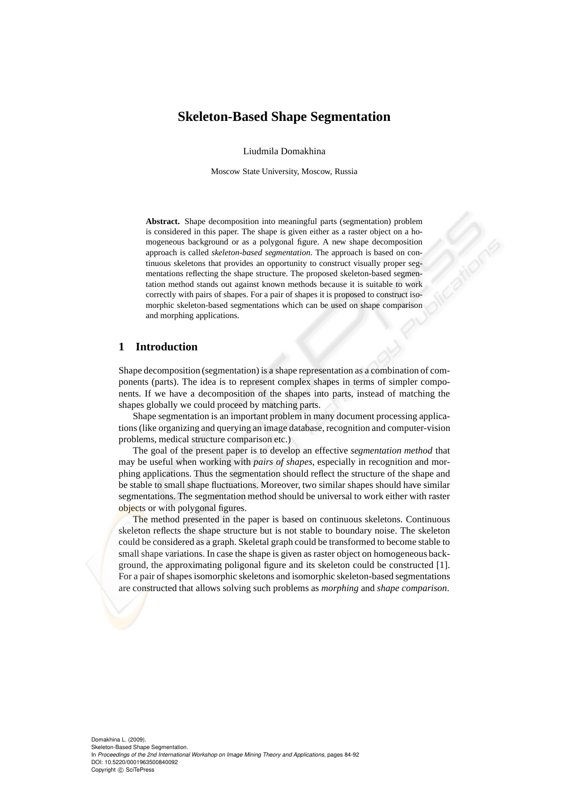# **Skeleton-Based Shape Segmentation**

Liudmila Domakhina

Moscow State University, Moscow, Russia

**Abstract.** Shape decomposition into meaningful parts (segmentation) problem is considered in this paper. The shape is given either as a raster object on a homogeneous background or as a polygonal figure. A new shape decomposition approach is called *skeleton-based segmentation*. The approach is based on continuous skeletons that provides an opportunity to construct visually proper segmentations reflecting the shape structure. The proposed skeleton-based segmentation method stands out against known methods because it is suitable to work correctly with pairs of shapes. For a pair of shapes it is proposed to construct isomorphic skeleton-based segmentations which can be used on shape comparison and morphing applications.

# **1 Introduction**

Shape decomposition (segmentation) is a shape representation as a combination of components (parts). The idea is to represent complex shapes in terms of simpler components. If we have a decomposition of the shapes into parts, instead of matching the shapes globally we could proceed by matching parts.

Shape segmentation is an important problem in many document processing applications (like organizing and querying an image database, recognition and computer-vision problems, medical structure comparison etc.)

The goal of the present paper is to develop an effective *segmentation method* that may be useful when working with *pairs of shapes*, especially in recognition and morphing applications. Thus the segmentation should reflect the structure of the shape and be stable to small shape fluctuations. Moreover, two similar shapes should have similar segmentations. The segmentation method should be universal to work either with raster objects or with polygonal figures.

The method presented in the paper is based on continuous skeletons. Continuous skeleton reflects the shape structure but is not stable to boundary noise. The skeleton could be considered as a graph. Skeletal graph could be transformed to become stable to small shape variations. In case the shape is given as raster object on homogeneous background, the approximating poligonal figure and its skeleton could be constructed [1]. For a pair of shapes isomorphic skeletons and isomorphic skeleton-based segmentations are constructed that allows solving such problems as *morphing* and *shape comparison*.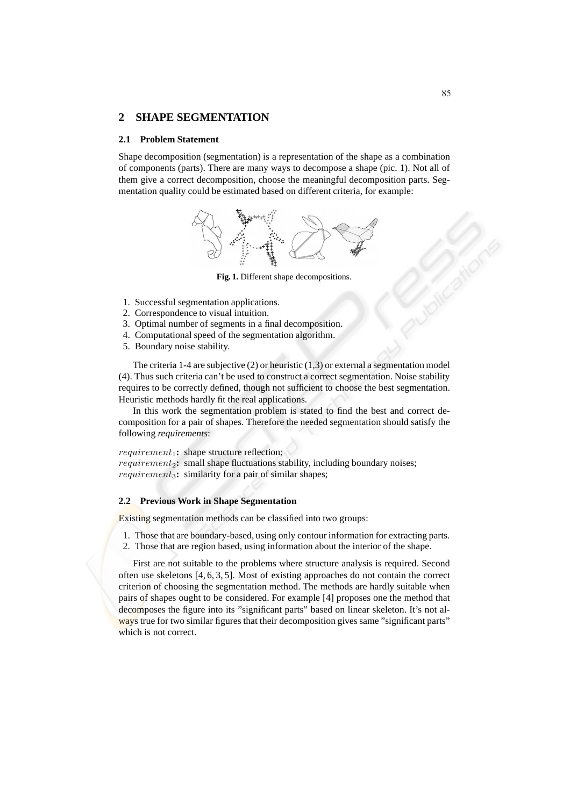# **2 SHAPE SEGMENTATION**

#### **2.1 Problem Statement**

Shape decomposition (segmentation) is a representation of the shape as a combination of components (parts). There are many ways to decompose a shape (pic. 1). Not all of them give a correct decomposition, choose the meaningful decomposition parts. Segmentation quality could be estimated based on different criteria, for example:



**Fig. 1.** Different shape decompositions.

- 1. Successful segmentation applications.
- 2. Correspondence to visual intuition.
- 3. Optimal number of segments in a final decomposition.
- 4. Computational speed of the segmentation algorithm.
- 5. Boundary noise stability.

The criteria 1-4 are subjective  $(2)$  or heuristic  $(1,3)$  or external a segmentation model (4). Thus such criteria can't be used to construct a correct segmentation. Noise stability requires to be correctly defined, though not sufficient to choose the best segmentation. Heuristic methods hardly fit the real applications.

In this work the segmentation problem is stated to find the best and correct decomposition for a pair of shapes. Therefore the needed segmentation should satisfy the following *requirements*:

 $requirement_1$ : shape structure reflection;

*requirement*<sub>2</sub>: small shape fluctuations stability, including boundary noises; requirement<sub>3</sub>: similarity for a pair of similar shapes;

## **2.2 Previous Work in Shape Segmentation**

Existing segmentation methods can be classified into two groups:

- 1. Those that are boundary-based, using only contour information for extracting parts.
- 2. Those that are region based, using information about the interior of the shape.

First are not suitable to the problems where structure analysis is required. Second often use skeletons [4, 6, 3, 5]. Most of existing approaches do not contain the correct criterion of choosing the segmentation method. The methods are hardly suitable when pairs of shapes ought to be considered. For example [4] proposes one the method that decomposes the figure into its "significant parts" based on linear skeleton. It's not always true for two similar figures that their decomposition gives same "significant parts" which is not correct.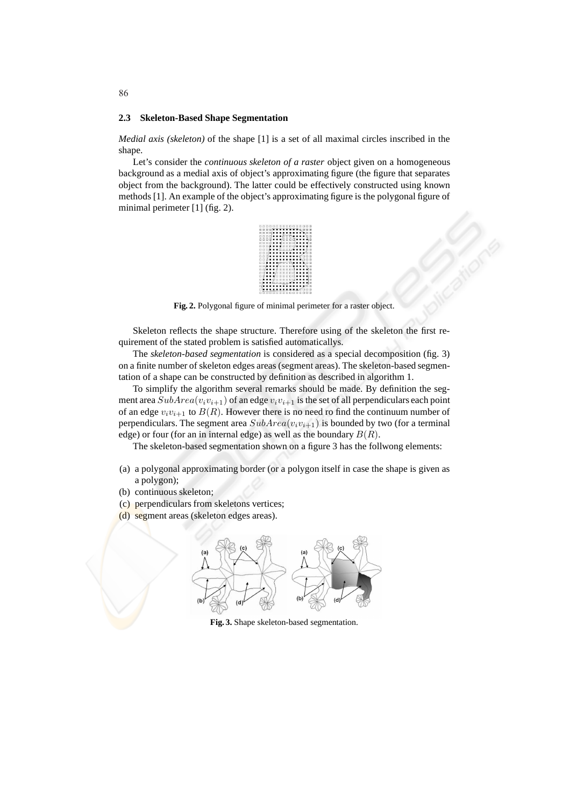#### **2.3 Skeleton-Based Shape Segmentation**

*Medial axis (skeleton)* of the shape [1] is a set of all maximal circles inscribed in the shape.

Let's consider the *continuous skeleton of a raster* object given on a homogeneous background as a medial axis of object's approximating figure (the figure that separates object from the background). The latter could be effectively constructed using known methods [1]. An example of the object's approximating figure is the polygonal figure of minimal perimeter [1] (fig. 2).



**Fig. 2.** Polygonal figure of minimal perimeter for a raster object.

Skeleton reflects the shape structure. Therefore using of the skeleton the first requirement of the stated problem is satisfied automaticallys.

The *skeleton-based segmentation* is considered as a special decomposition (fig. 3) on a finite number of skeleton edges areas (segment areas). The skeleton-based segmentation of a shape can be constructed by definition as described in algorithm 1.

To simplify the algorithm several remarks should be made. By definition the segment area  $SubArea(v_iv_{i+1})$  of an edge  $v_iv_{i+1}$  is the set of all perpendiculars each point of an edge  $v_i v_{i+1}$  to  $B(R)$ . However there is no need ro find the continuum number of perpendiculars. The segment area  $SubArea(v_iv_{i+1})$  is bounded by two (for a terminal edge) or four (for an in internal edge) as well as the boundary  $B(R)$ .

The skeleton-based segmentation shown on a figure 3 has the follwong elements:

- (a) a polygonal approximating border (or a polygon itself in case the shape is given as a polygon);
- (b) continuous skeleton;
- (c) perpendiculars from skeletons vertices;
- (d) segment areas (skeleton edges areas).



**Fig. 3.** Shape skeleton-based segmentation.

86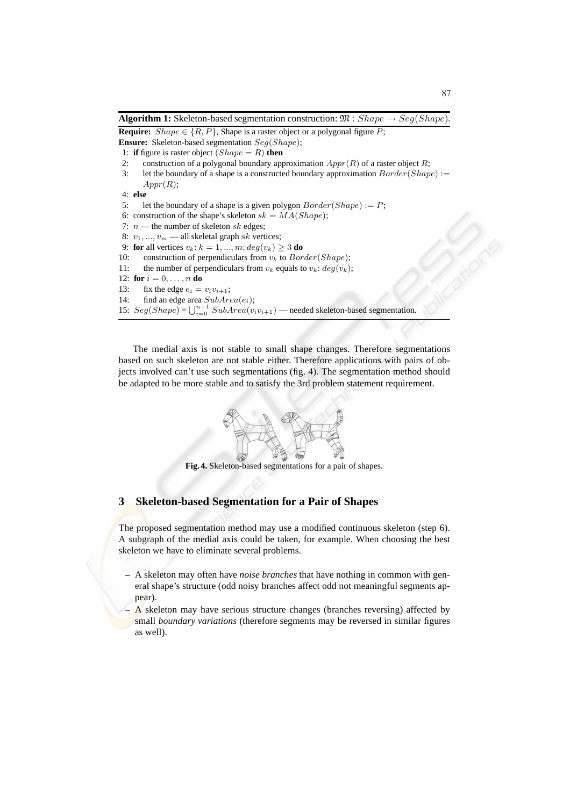**Algorithm 1:** Skeleton-based segmentation construction:  $\mathfrak{M}$  : Shape  $\rightarrow$  Seg(Shape). **Require:**  $Shape \in \{R, P\}$ , Shape is a raster object or a polygonal figure P; **Ensure:** Skeleton-based segmentation  $Seg(Shape)$ ; 1: **if** figure is raster object  $(Shape = R)$  **then** 2: construction of a polygonal boundary approximation  $Appr(R)$  of a raster object R; 3: let the boundary of a shape is a constructed boundary approximation  $Border(Shape) :=$  $Appr(R);$ 4: **else** 5: let the boundary of a shape is a given polygon  $Border(Shape) := P$ ; 6: construction of the shape's skeleton  $sk = MA(Shape)$ ; 7:  $n$  — the number of skeleton sk edges; 8:  $v_1, ..., v_m$  — all skeletal graph sk vertices; 9: **for** all vertices  $v_k$ :  $k = 1, ..., m$ ;  $deg(v_k) > 3$  **do** 10: construction of perpendiculars from  $v_k$  to  $Border(Shape)$ ; 11: the number of perpendiculars from  $v_k$  equals to  $v_k$ :  $deg(v_k)$ ; 12: **for**  $i = 0, ..., n$  **do** 13: fix the edge  $e_i = v_i v_{i+1}$ ; 14: find an edge area  $SubArea(e_i);$ 15:  $Seg(Shape) = \bigcup_{i=0}^{n-1} SubArea(v_i v_{i+1})$  — needed skeleton-based segmentation.

The medial axis is not stable to small shape changes. Therefore segmentations based on such skeleton are not stable either. Therefore applications with pairs of objects involved can't use such segmentations (fig. 4). The segmentation method should be adapted to be more stable and to satisfy the 3rd problem statement requirement.



**Fig. 4.** Skeleton-based segmentations for a pair of shapes.

# **3 Skeleton-based Segmentation for a Pair of Shapes**

The proposed segmentation method may use a modified continuous skeleton (step 6). A subgraph of the medial axis could be taken, for example. When choosing the best skeleton we have to eliminate several problems.

- **–** A skeleton may often have *noise branches* that have nothing in common with general shape's structure (odd noisy branches affect odd not meaningful segments appear).
- **–** A skeleton may have serious structure changes (branches reversing) affected by small *boundary variations* (therefore segments may be reversed in similar figures as well).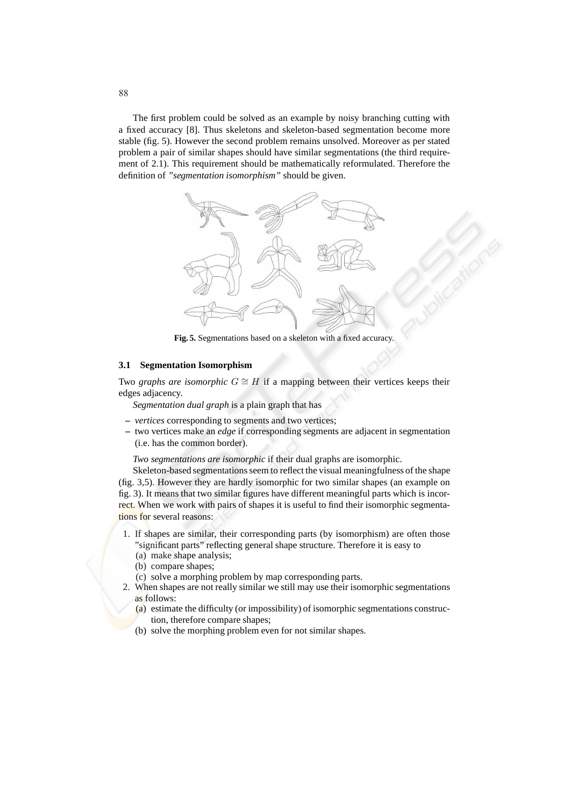The first problem could be solved as an example by noisy branching cutting with a fixed accuracy [8]. Thus skeletons and skeleton-based segmentation become more stable (fig. 5). However the second problem remains unsolved. Moreover as per stated problem a pair of similar shapes should have similar segmentations (the third requirement of 2.1). This requirement should be mathematically reformulated. Therefore the definition of *"segmentation isomorphism"* should be given.



**Fig. 5.** Segmentations based on a skeleton with a fixed accuracy.

#### **3.1 Segmentation Isomorphism**

Two *graphs are isomorphic*  $G \cong H$  if a mapping between their vertices keeps their edges adjacency.

*Segmentation dual graph* is a plain graph that has

- **–** *vertices* corresponding to segments and two vertices;
- **–** two vertices make an *edge* if corresponding segments are adjacent in segmentation (i.e. has the common border).

*Two segmentations are isomorphic* if their dual graphs are isomorphic.

Skeleton-based segmentations seem to reflect the visual meaningfulness of the shape (fig. 3,5). However they are hardly isomorphic for two similar shapes (an example on fig. 3). It means that two similar figures have different meaningful parts which is incorrect. When we work with pairs of shapes it is useful to find their isomorphic segmentations for several reasons:

- 1. If shapes are similar, their corresponding parts (by isomorphism) are often those "significant parts" reflecting general shape structure. Therefore it is easy to
	- (a) make shape analysis;
	- (b) compare shapes;
	- (c) solve a morphing problem by map corresponding parts.
- 2. When shapes are not really similar we still may use their isomorphic segmentations as follows:
	- (a) estimate the difficulty (or impossibility) of isomorphic segmentations construction, therefore compare shapes;
	- (b) solve the morphing problem even for not similar shapes.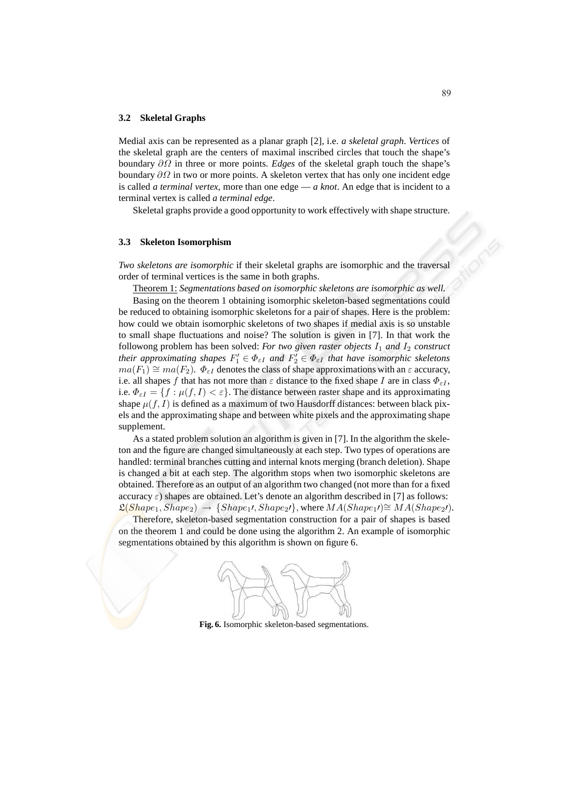#### **3.2 Skeletal Graphs**

Medial axis can be represented as a planar graph [2], i.e. *a skeletal graph*. *Vertices* of the skeletal graph are the centers of maximal inscribed circles that touch the shape's boundary ∂Ω in three or more points. *Edges* of the skeletal graph touch the shape's boundary  $\partial\Omega$  in two or more points. A skeleton vertex that has only one incident edge is called *a terminal vertex*, more than one edge — *a knot*. An edge that is incident to a terminal vertex is called *a terminal edge*.

Skeletal graphs provide a good opportunity to work effectively with shape structure.

#### **3.3 Skeleton Isomorphism**

*Two skeletons are isomorphic* if their skeletal graphs are isomorphic and the traversal order of terminal vertices is the same in both graphs.

Theorem 1: *Segmentations based on isomorphic skeletons are isomorphic as well.*

Basing on the theorem 1 obtaining isomorphic skeleton-based segmentations could be reduced to obtaining isomorphic skeletons for a pair of shapes. Here is the problem: how could we obtain isomorphic skeletons of two shapes if medial axis is so unstable to small shape fluctuations and noise? The solution is given in [7]. In that work the followong problem has been solved: *For two given raster objects*  $I_1$  *and*  $I_2$  *construct their approximating shapes*  $F'_1 \in \Phi_{\varepsilon I}$  and  $F'_2 \in \Phi_{\varepsilon I}$  that have isomorphic skeletons  $ma(F_1) \cong ma(F_2)$ .  $\Phi_{\varepsilon I}$  denotes the class of shape approximations with an  $\varepsilon$  accuracy, i.e. all shapes f that has not more than  $\varepsilon$  distance to the fixed shape I are in class  $\Phi_{\varepsilon I}$ , i.e.  $\Phi_{\varepsilon I} = \{f : \mu(f, I) < \varepsilon\}$ . The distance between raster shape and its approximating shape  $\mu(f, I)$  is defined as a maximum of two Hausdorff distances: between black pixels and the approximating shape and between white pixels and the approximating shape supplement.

As a stated problem solution an algorithm is given in [7]. In the algorithm the skeleton and the figure are changed simultaneously at each step. Two types of operations are handled: terminal branches cutting and internal knots merging (branch deletion). Shape is changed a bit at each step. The algorithm stops when two isomorphic skeletons are obtained. Therefore as an output of an algorithm two changed (not more than for a fixed accuracy  $\varepsilon$ ) shapes are obtained. Let's denote an algorithm described in [7] as follows:  $\mathfrak{L}(Shape_1, Shape_2) \rightarrow \{Shape_1\}, Shape_2\}, where MA(Shape_1) \cong MA(Shape_2\prime).$ 

Therefore, skeleton-based segmentation construction for a pair of shapes is based on the theorem 1 and could be done using the algorithm 2. An example of isomorphic segmentations obtained by this algorithm is shown on figure 6.



**Fig. 6.** Isomorphic skeleton-based segmentations.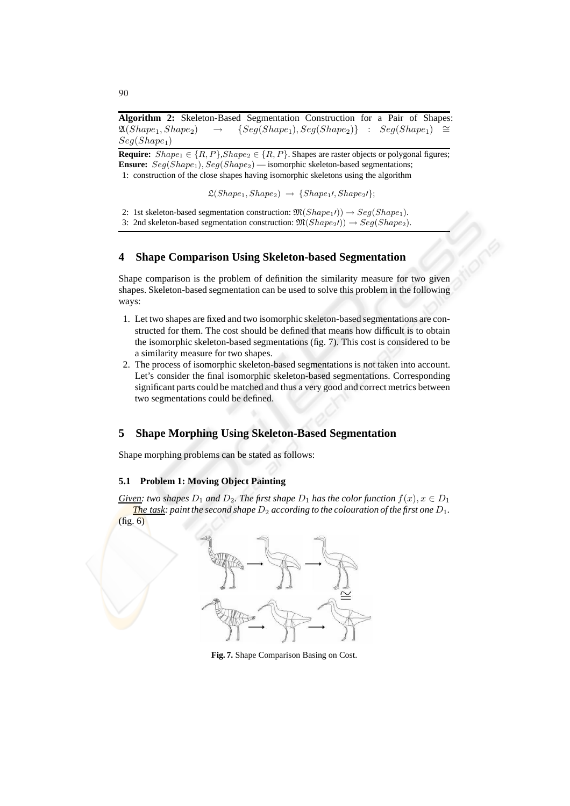**Algorithm 2:** Skeleton-Based Segmentation Construction for a Pair of Shapes:  $\mathfrak{A}(Shape_1, Shape_2) \rightarrow \{Seg(Shape_1), Seg(Shape_2)\} : Seg(Shape_1) \cong$  $Seg(Shape<sub>1</sub>)$ 

**Require:**  $Shape_1 \in \{R, P\}$ ,  $Shape_2 \in \{R, P\}$ . Shapes are raster objects or polygonal figures; **Ensure:**  $Seq(Shape_1), Seq(Shape_2)$  — isomorphic skeleton-based segmentations; 1: construction of the close shapes having isomorphic skeletons using the algorithm

 $\mathfrak{L}(Shape_1, Shape_2) \rightarrow \{Shape_1\}, Shape_2\}$ ;

2: 1st skeleton-based segmentation construction:  $\mathfrak{M}(Shape_1\prime) \rightarrow Seq(Shape_1)$ .

3: 2nd skeleton-based segmentation construction:  $\mathfrak{M}(Shape_2\prime) \rightarrow Seq(Shape_2)$ .

### **4 Shape Comparison Using Skeleton-based Segmentation**

Shape comparison is the problem of definition the similarity measure for two given shapes. Skeleton-based segmentation can be used to solve this problem in the following ways:

- 1. Let two shapes are fixed and two isomorphic skeleton-based segmentations are constructed for them. The cost should be defined that means how difficult is to obtain the isomorphic skeleton-based segmentations (fig. 7). This cost is considered to be a similarity measure for two shapes.
- 2. The process of isomorphic skeleton-based segmentations is not taken into account. Let's consider the final isomorphic skeleton-based segmentations. Corresponding significant parts could be matched and thus a very good and correct metrics between two segmentations could be defined.

# **5 Shape Morphing Using Skeleton-Based Segmentation**

Shape morphing problems can be stated as follows:

## **5.1 Problem 1: Moving Object Painting**

*Given: two shapes*  $D_1$  *and*  $D_2$ *. The first shape*  $D_1$  *has the color function*  $f(x), x \in D_1$ *The task: paint the second shape*  $D_2$  *according to the colouration of the first one*  $D_1$ *.* (fig. 6)



**Fig. 7.** Shape Comparison Basing on Cost.

90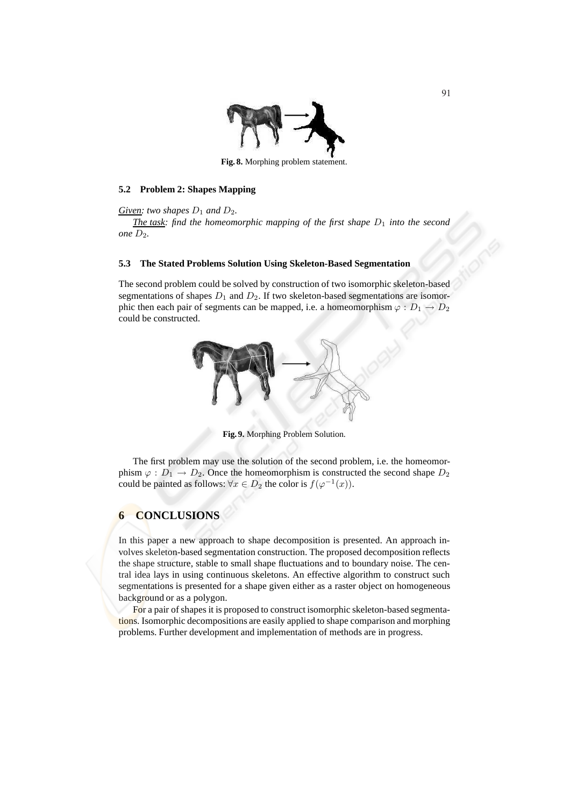

**Fig. 8.** Morphing problem statement.

#### **5.2 Problem 2: Shapes Mapping**

*Given:* two shapes  $D_1$  and  $D_2$ .

*The task: find the homeomorphic mapping of the first shape*  $D_1$  *into the second one*  $D_2$ *.* 

#### **5.3 The Stated Problems Solution Using Skeleton-Based Segmentation**

The second problem could be solved by construction of two isomorphic skeleton-based segmentations of shapes  $D_1$  and  $D_2$ . If two skeleton-based segmentations are isomorphic then each pair of segments can be mapped, i.e. a homeomorphism  $\varphi : D_1 \to D_2$ could be constructed.



**Fig. 9.** Morphing Problem Solution.

The first problem may use the solution of the second problem, i.e. the homeomorphism  $\varphi : D_1 \to D_2$ . Once the homeomorphism is constructed the second shape  $D_2$ could be painted as follows:  $\forall x \in D_2$  the color is  $f(\varphi^{-1}(x))$ .

# **6 CONCLUSIONS**

In this paper a new approach to shape decomposition is presented. An approach involves skeleton-based segmentation construction. The proposed decomposition reflects the shape structure, stable to small shape fluctuations and to boundary noise. The central idea lays in using continuous skeletons. An effective algorithm to construct such segmentations is presented for a shape given either as a raster object on homogeneous background or as a polygon.

For a pair of shapes it is proposed to construct isomorphic skeleton-based segmentations. Isomorphic decompositions are easily applied to shape comparison and morphing problems. Further development and implementation of methods are in progress.